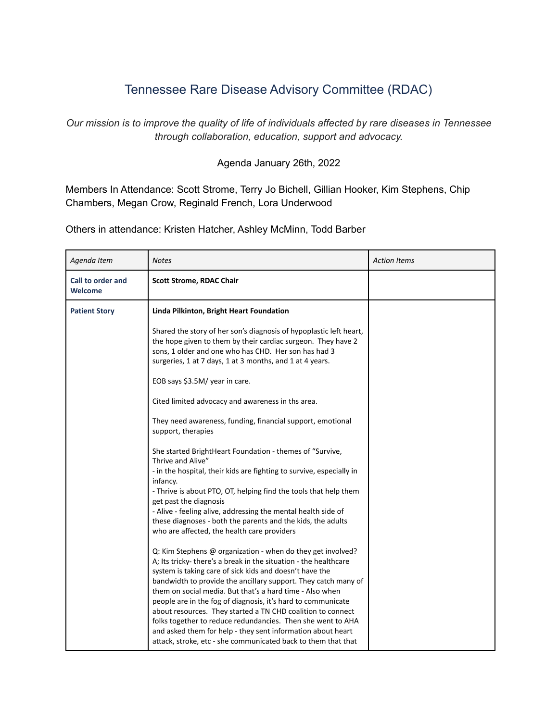## Tennessee Rare Disease Advisory Committee (RDAC)

*Our mission is to improve the quality of life of individuals affected by rare diseases in Tennessee through collaboration, education, support and advocacy.*

## Agenda January 26th, 2022

Members In Attendance: Scott Strome, Terry Jo Bichell, Gillian Hooker, Kim Stephens, Chip Chambers, Megan Crow, Reginald French, Lora Underwood

Others in attendance: Kristen Hatcher, Ashley McMinn, Todd Barber

| Agenda Item                         | <b>Notes</b>                                                                                                                                                                                                                                                                                                                                                                                                                                                                                                                                                                                                                                           | <b>Action Items</b> |
|-------------------------------------|--------------------------------------------------------------------------------------------------------------------------------------------------------------------------------------------------------------------------------------------------------------------------------------------------------------------------------------------------------------------------------------------------------------------------------------------------------------------------------------------------------------------------------------------------------------------------------------------------------------------------------------------------------|---------------------|
| Call to order and<br><b>Welcome</b> | <b>Scott Strome, RDAC Chair</b>                                                                                                                                                                                                                                                                                                                                                                                                                                                                                                                                                                                                                        |                     |
| <b>Patient Story</b>                | Linda Pilkinton, Bright Heart Foundation                                                                                                                                                                                                                                                                                                                                                                                                                                                                                                                                                                                                               |                     |
|                                     | Shared the story of her son's diagnosis of hypoplastic left heart,<br>the hope given to them by their cardiac surgeon. They have 2<br>sons, 1 older and one who has CHD. Her son has had 3<br>surgeries, 1 at 7 days, 1 at 3 months, and 1 at 4 years.                                                                                                                                                                                                                                                                                                                                                                                                 |                     |
|                                     | EOB says \$3.5M/ year in care.                                                                                                                                                                                                                                                                                                                                                                                                                                                                                                                                                                                                                         |                     |
|                                     | Cited limited advocacy and awareness in ths area.                                                                                                                                                                                                                                                                                                                                                                                                                                                                                                                                                                                                      |                     |
|                                     | They need awareness, funding, financial support, emotional<br>support, therapies                                                                                                                                                                                                                                                                                                                                                                                                                                                                                                                                                                       |                     |
|                                     | She started BrightHeart Foundation - themes of "Survive,<br>Thrive and Alive"<br>- in the hospital, their kids are fighting to survive, especially in<br>infancy.<br>- Thrive is about PTO, OT, helping find the tools that help them<br>get past the diagnosis<br>- Alive - feeling alive, addressing the mental health side of<br>these diagnoses - both the parents and the kids, the adults<br>who are affected, the health care providers                                                                                                                                                                                                         |                     |
|                                     | Q: Kim Stephens @ organization - when do they get involved?<br>A; Its tricky- there's a break in the situation - the healthcare<br>system is taking care of sick kids and doesn't have the<br>bandwidth to provide the ancillary support. They catch many of<br>them on social media. But that's a hard time - Also when<br>people are in the fog of diagnosis, it's hard to communicate<br>about resources. They started a TN CHD coalition to connect<br>folks together to reduce redundancies. Then she went to AHA<br>and asked them for help - they sent information about heart<br>attack, stroke, etc - she communicated back to them that that |                     |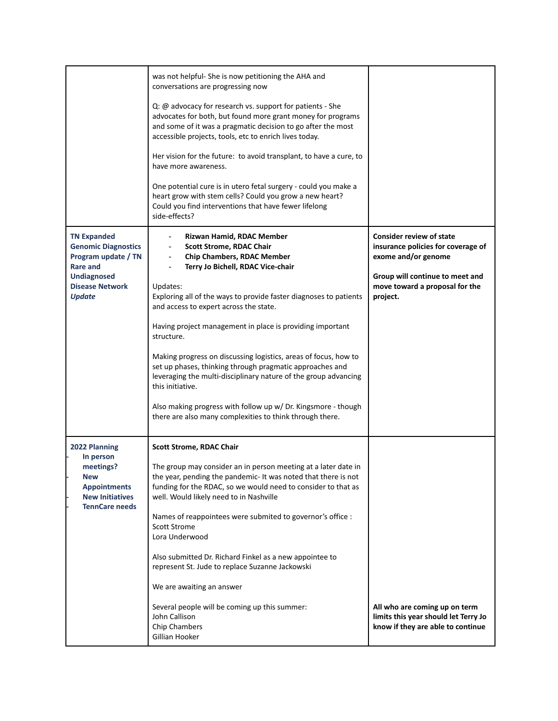|                                                                                                                                                             | was not helpful- She is now petitioning the AHA and<br>conversations are progressing now<br>Q: @ advocacy for research vs. support for patients - She<br>advocates for both, but found more grant money for programs<br>and some of it was a pragmatic decision to go after the most<br>accessible projects, tools, etc to enrich lives today.<br>Her vision for the future: to avoid transplant, to have a cure, to<br>have more awareness.<br>One potential cure is in utero fetal surgery - could you make a<br>heart grow with stem cells? Could you grow a new heart?<br>Could you find interventions that have fewer lifelong<br>side-effects?                                            |                                                                                                                                                                               |
|-------------------------------------------------------------------------------------------------------------------------------------------------------------|-------------------------------------------------------------------------------------------------------------------------------------------------------------------------------------------------------------------------------------------------------------------------------------------------------------------------------------------------------------------------------------------------------------------------------------------------------------------------------------------------------------------------------------------------------------------------------------------------------------------------------------------------------------------------------------------------|-------------------------------------------------------------------------------------------------------------------------------------------------------------------------------|
| <b>TN Expanded</b><br><b>Genomic Diagnostics</b><br>Program update / TN<br><b>Rare and</b><br><b>Undiagnosed</b><br><b>Disease Network</b><br><b>Update</b> | Rizwan Hamid, RDAC Member<br><b>Scott Strome, RDAC Chair</b><br><b>Chip Chambers, RDAC Member</b><br>Terry Jo Bichell, RDAC Vice-chair<br>Updates:<br>Exploring all of the ways to provide faster diagnoses to patients<br>and access to expert across the state.<br>Having project management in place is providing important<br>structure.<br>Making progress on discussing logistics, areas of focus, how to<br>set up phases, thinking through pragmatic approaches and<br>leveraging the multi-disciplinary nature of the group advancing<br>this initiative.<br>Also making progress with follow up w/ Dr. Kingsmore - though<br>there are also many complexities to think through there. | <b>Consider review of state</b><br>insurance policies for coverage of<br>exome and/or genome<br>Group will continue to meet and<br>move toward a proposal for the<br>project. |
| 2022 Planning<br>In person<br>meetings?<br><b>New</b><br><b>Appointments</b><br><b>New Initiatives</b><br><b>TennCare needs</b>                             | <b>Scott Strome, RDAC Chair</b><br>The group may consider an in person meeting at a later date in<br>the year, pending the pandemic- It was noted that there is not<br>funding for the RDAC, so we would need to consider to that as<br>well. Would likely need to in Nashville<br>Names of reappointees were submited to governor's office :<br><b>Scott Strome</b><br>Lora Underwood<br>Also submitted Dr. Richard Finkel as a new appointee to<br>represent St. Jude to replace Suzanne Jackowski<br>We are awaiting an answer<br>Several people will be coming up this summer:<br>John Callison<br><b>Chip Chambers</b><br>Gillian Hooker                                                   | All who are coming up on term<br>limits this year should let Terry Jo<br>know if they are able to continue                                                                    |